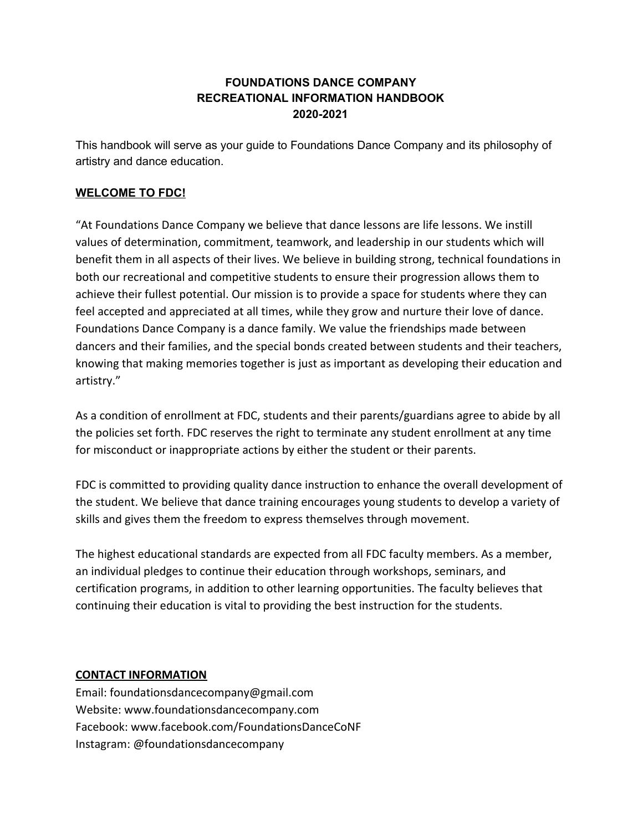# **FOUNDATIONS DANCE COMPANY RECREATIONAL INFORMATION HANDBOOK 2020-2021**

This handbook will serve as your guide to Foundations Dance Company and its philosophy of artistry and dance education.

## **WELCOME TO FDC!**

"At Foundations Dance Company we believe that dance lessons are life lessons. We instill values of determination, commitment, teamwork, and leadership in our students which will benefit them in all aspects of their lives. We believe in building strong, technical foundations in both our recreational and competitive students to ensure their progression allows them to achieve their fullest potential. Our mission is to provide a space for students where they can feel accepted and appreciated at all times, while they grow and nurture their love of dance. Foundations Dance Company is a dance family. We value the friendships made between dancers and their families, and the special bonds created between students and their teachers, knowing that making memories together is just as important as developing their education and artistry."

As a condition of enrollment at FDC, students and their parents/guardians agree to abide by all the policies set forth. FDC reserves the right to terminate any student enrollment at any time for misconduct or inappropriate actions by either the student or their parents.

FDC is committed to providing quality dance instruction to enhance the overall development of the student. We believe that dance training encourages young students to develop a variety of skills and gives them the freedom to express themselves through movement.

The highest educational standards are expected from all FDC faculty members. As a member, an individual pledges to continue their education through workshops, seminars, and certification programs, in addition to other learning opportunities. The faculty believes that continuing their education is vital to providing the best instruction for the students.

#### **CONTACT INFORMATION**

Email: foundationsdancecompany@gmail.com Website: www.foundationsdancecompany.com Facebook: www.facebook.com/FoundationsDanceCoNF Instagram: @foundationsdancecompany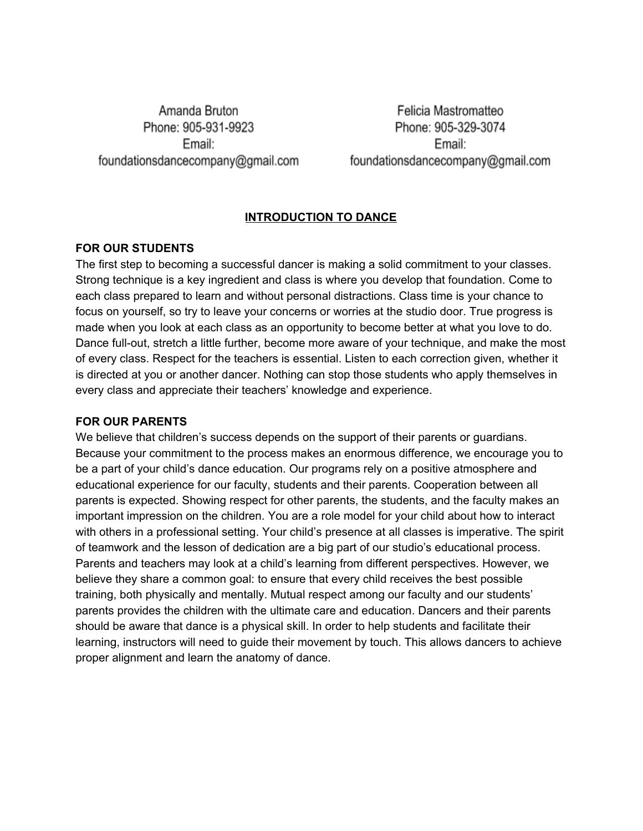Amanda Bruton Phone: 905-931-9923 Email: foundationsdancecompany@gmail.com

Felicia Mastromatteo Phone: 905-329-3074 Email: foundationsdancecompany@gmail.com

## **INTRODUCTION TO DANCE**

#### **FOR OUR STUDENTS**

The first step to becoming a successful dancer is making a solid commitment to your classes. Strong technique is a key ingredient and class is where you develop that foundation. Come to each class prepared to learn and without personal distractions. Class time is your chance to focus on yourself, so try to leave your concerns or worries at the studio door. True progress is made when you look at each class as an opportunity to become better at what you love to do. Dance full-out, stretch a little further, become more aware of your technique, and make the most of every class. Respect for the teachers is essential. Listen to each correction given, whether it is directed at you or another dancer. Nothing can stop those students who apply themselves in every class and appreciate their teachers' knowledge and experience.

#### **FOR OUR PARENTS**

We believe that children's success depends on the support of their parents or quardians. Because your commitment to the process makes an enormous difference, we encourage you to be a part of your child's dance education. Our programs rely on a positive atmosphere and educational experience for our faculty, students and their parents. Cooperation between all parents is expected. Showing respect for other parents, the students, and the faculty makes an important impression on the children. You are a role model for your child about how to interact with others in a professional setting. Your child's presence at all classes is imperative. The spirit of teamwork and the lesson of dedication are a big part of our studio's educational process. Parents and teachers may look at a child's learning from different perspectives. However, we believe they share a common goal: to ensure that every child receives the best possible training, both physically and mentally. Mutual respect among our faculty and our students' parents provides the children with the ultimate care and education. Dancers and their parents should be aware that dance is a physical skill. In order to help students and facilitate their learning, instructors will need to guide their movement by touch. This allows dancers to achieve proper alignment and learn the anatomy of dance.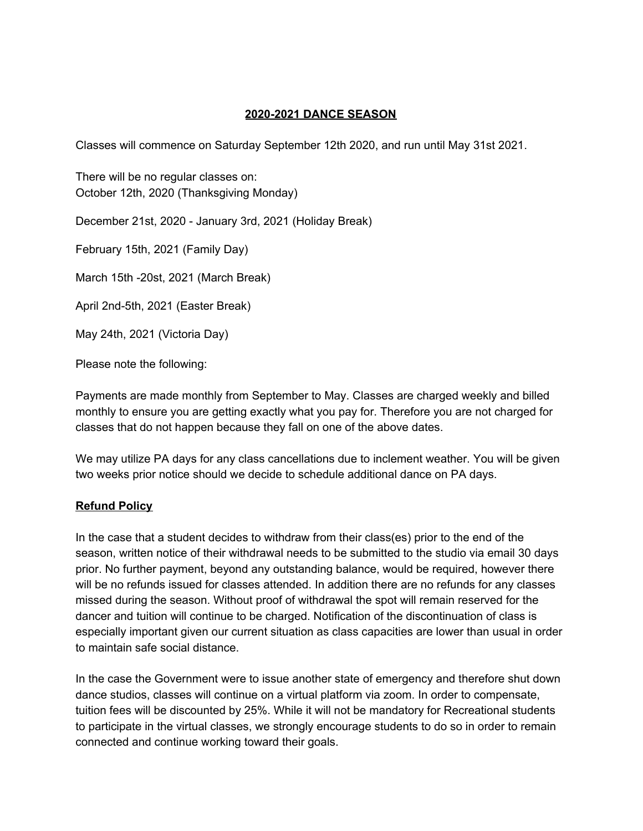## **2020-2021 DANCE SEASON**

Classes will commence on Saturday September 12th 2020, and run until May 31st 2021.

There will be no regular classes on: October 12th, 2020 (Thanksgiving Monday)

December 21st, 2020 - January 3rd, 2021 (Holiday Break)

February 15th, 2021 (Family Day)

March 15th -20st, 2021 (March Break)

April 2nd-5th, 2021 (Easter Break)

May 24th, 2021 (Victoria Day)

Please note the following:

Payments are made monthly from September to May. Classes are charged weekly and billed monthly to ensure you are getting exactly what you pay for. Therefore you are not charged for classes that do not happen because they fall on one of the above dates.

We may utilize PA days for any class cancellations due to inclement weather. You will be given two weeks prior notice should we decide to schedule additional dance on PA days.

## **Refund Policy**

In the case that a student decides to withdraw from their class(es) prior to the end of the season, written notice of their withdrawal needs to be submitted to the studio via email 30 days prior. No further payment, beyond any outstanding balance, would be required, however there will be no refunds issued for classes attended. In addition there are no refunds for any classes missed during the season. Without proof of withdrawal the spot will remain reserved for the dancer and tuition will continue to be charged. Notification of the discontinuation of class is especially important given our current situation as class capacities are lower than usual in order to maintain safe social distance.

In the case the Government were to issue another state of emergency and therefore shut down dance studios, classes will continue on a virtual platform via zoom. In order to compensate, tuition fees will be discounted by 25%. While it will not be mandatory for Recreational students to participate in the virtual classes, we strongly encourage students to do so in order to remain connected and continue working toward their goals.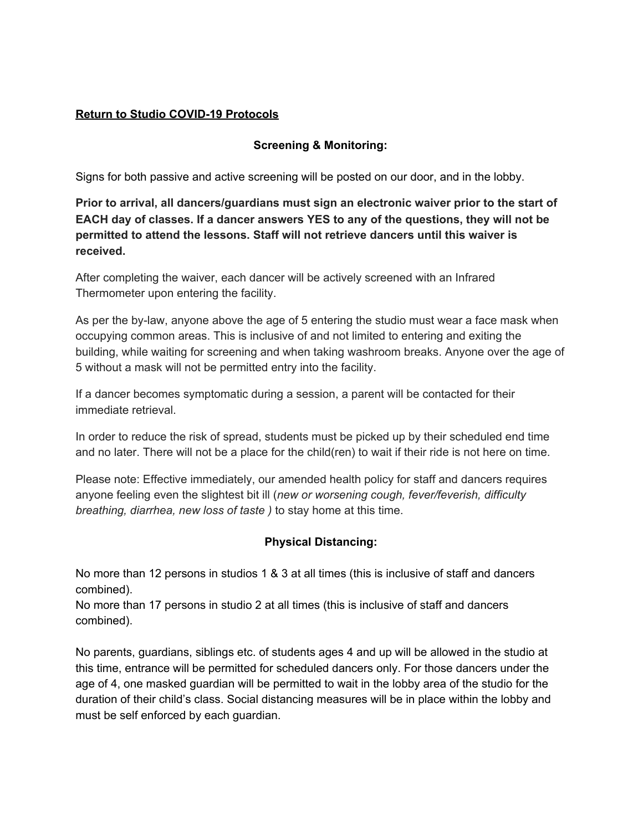## **Return to Studio COVID-19 Protocols**

## **Screening & Monitoring:**

Signs for both passive and active screening will be posted on our door, and in the lobby.

**Prior to arrival, all dancers/guardians must sign an electronic waiver prior to the start of EACH day of classes. If a dancer answers YES to any of the questions, they will not be permitted to attend the lessons. Staff will not retrieve dancers until this waiver is received.**

After completing the waiver, each dancer will be actively screened with an Infrared Thermometer upon entering the facility.

As per the by-law, anyone above the age of 5 entering the studio must wear a face mask when occupying common areas. This is inclusive of and not limited to entering and exiting the building, while waiting for screening and when taking washroom breaks. Anyone over the age of 5 without a mask will not be permitted entry into the facility.

If a dancer becomes symptomatic during a session, a parent will be contacted for their immediate retrieval.

In order to reduce the risk of spread, students must be picked up by their scheduled end time and no later. There will not be a place for the child(ren) to wait if their ride is not here on time.

Please note: Effective immediately, our amended health policy for staff and dancers requires anyone feeling even the slightest bit ill (*new or worsening cough, fever/feverish, difficulty breathing, diarrhea, new loss of taste )* to stay home at this time.

## **Physical Distancing:**

No more than 12 persons in studios 1 & 3 at all times (this is inclusive of staff and dancers combined).

No more than 17 persons in studio 2 at all times (this is inclusive of staff and dancers combined).

No parents, guardians, siblings etc. of students ages 4 and up will be allowed in the studio at this time, entrance will be permitted for scheduled dancers only. For those dancers under the age of 4, one masked guardian will be permitted to wait in the lobby area of the studio for the duration of their child's class. Social distancing measures will be in place within the lobby and must be self enforced by each guardian.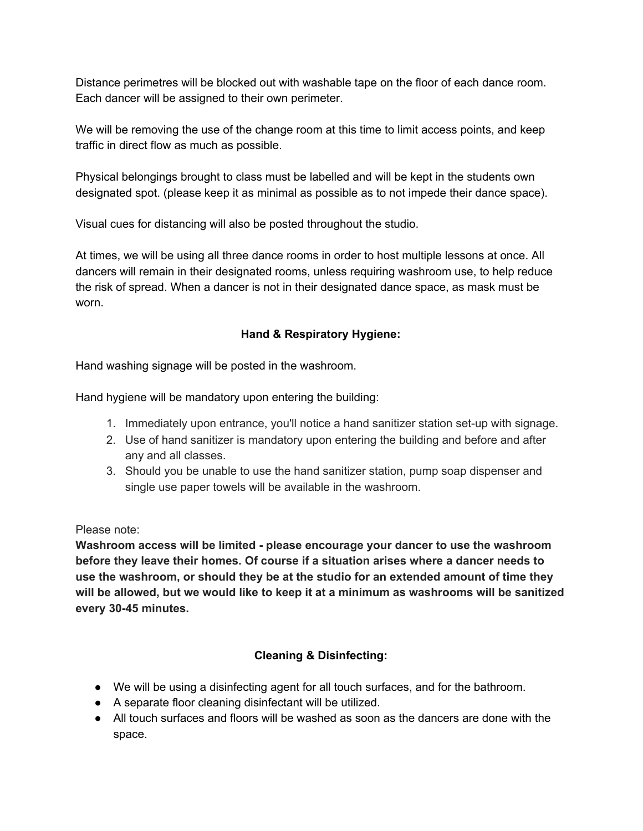Distance perimetres will be blocked out with washable tape on the floor of each dance room. Each dancer will be assigned to their own perimeter.

We will be removing the use of the change room at this time to limit access points, and keep traffic in direct flow as much as possible.

Physical belongings brought to class must be labelled and will be kept in the students own designated spot. (please keep it as minimal as possible as to not impede their dance space).

Visual cues for distancing will also be posted throughout the studio.

At times, we will be using all three dance rooms in order to host multiple lessons at once. All dancers will remain in their designated rooms, unless requiring washroom use, to help reduce the risk of spread. When a dancer is not in their designated dance space, as mask must be worn.

## **Hand & Respiratory Hygiene:**

Hand washing signage will be posted in the washroom.

Hand hygiene will be mandatory upon entering the building:

- 1. Immediately upon entrance, you'll notice a hand sanitizer station set-up with signage.
- 2. Use of hand sanitizer is mandatory upon entering the building and before and after any and all classes.
- 3. Should you be unable to use the hand sanitizer station, pump soap dispenser and single use paper towels will be available in the washroom.

Please note:

**Washroom access will be limited - please encourage your dancer to use the washroom before they leave their homes. Of course if a situation arises where a dancer needs to use the washroom, or should they be at the studio for an extended amount of time they will be allowed, but we would like to keep it at a minimum as washrooms will be sanitized every 30-45 minutes.**

# **Cleaning & Disinfecting:**

- We will be using a disinfecting agent for all touch surfaces, and for the bathroom.
- A separate floor cleaning disinfectant will be utilized.
- All touch surfaces and floors will be washed as soon as the dancers are done with the space.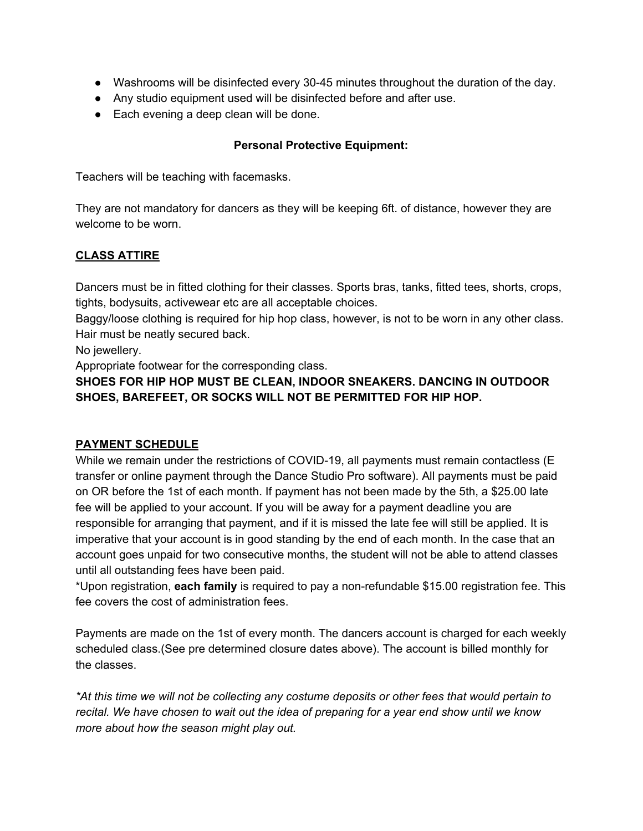- Washrooms will be disinfected every 30-45 minutes throughout the duration of the day.
- Any studio equipment used will be disinfected before and after use.
- Each evening a deep clean will be done.

#### **Personal Protective Equipment:**

Teachers will be teaching with facemasks.

They are not mandatory for dancers as they will be keeping 6ft. of distance, however they are welcome to be worn.

## **CLASS ATTIRE**

Dancers must be in fitted clothing for their classes. Sports bras, tanks, fitted tees, shorts, crops, tights, bodysuits, activewear etc are all acceptable choices.

Baggy/loose clothing is required for hip hop class, however, is not to be worn in any other class. Hair must be neatly secured back.

No jewellery.

Appropriate footwear for the corresponding class.

**SHOES FOR HIP HOP MUST BE CLEAN, INDOOR SNEAKERS. DANCING IN OUTDOOR SHOES, BAREFEET, OR SOCKS WILL NOT BE PERMITTED FOR HIP HOP.**

#### **PAYMENT SCHEDULE**

While we remain under the restrictions of COVID-19, all payments must remain contactless (E transfer or online payment through the Dance Studio Pro software). All payments must be paid on OR before the 1st of each month. If payment has not been made by the 5th, a \$25.00 late fee will be applied to your account. If you will be away for a payment deadline you are responsible for arranging that payment, and if it is missed the late fee will still be applied. It is imperative that your account is in good standing by the end of each month. In the case that an account goes unpaid for two consecutive months, the student will not be able to attend classes until all outstanding fees have been paid.

\*Upon registration, **each family** is required to pay a non-refundable \$15.00 registration fee. This fee covers the cost of administration fees.

Payments are made on the 1st of every month. The dancers account is charged for each weekly scheduled class.(See pre determined closure dates above). The account is billed monthly for the classes.

*\*At this time we will not be collecting any costume deposits or other fees that would pertain to recital. We have chosen to wait out the idea of preparing for a year end show until we know more about how the season might play out.*